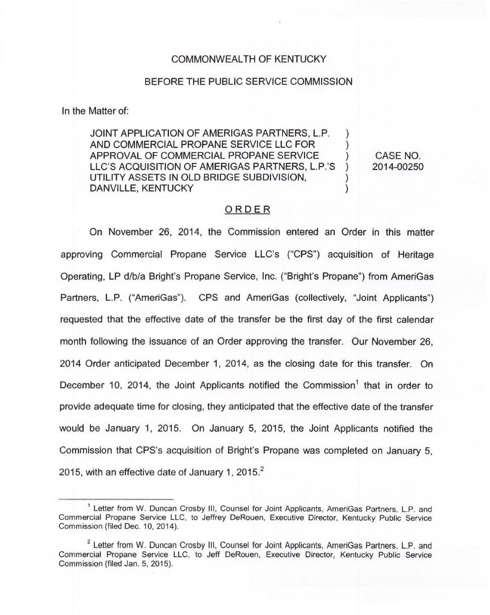## COMMONWEALTH OF KENTUCKY

## BEFORE THE PUBLIC SERVICE COMMISSION

In the Matter of:

JOINT APPLICATION OF AMERIGAS PARTNERS, L.P. ) AND COMMERCIAL PROPANE SERVICE LLC FOR ) APPROVAL OF COMMERCIAL PROPANE SERVICE (3)<br>LLC'S ACQUISITION OF AMERIGAS PARTNERS, L.P.'S LLC'S ACQUISITION OF AMERIGAS PARTNERS, L.P.'S UTILITY ASSETS IN OLD BRIDGE SUBDIVISION, DANVILLE, KENTUCKY

CASE NO. 2014-00250

## ORDER

On November 26, 2014, the Commission entered an Order in this matter approving Commercial Propane Service LLC's ("CPS") acquisition of Heritage Operating, LP d/b/a Bright's Propane Service, Inc. ("Bright's Propane") from AmeriGa Partners, L.P. ("AmeriGas"). CPS and AmeriGas (collectively, "Joint Applicants" ) requested that the effective date of the transfer be the first day of the first calendar month following the issuance of an Order approving the transfer. Our November 26, 2014 Order anticipated December 1, 2014, as the closing date for this transfer. On December 10, 2014, the Joint Applicants notified the Commission<sup>1</sup> that in order to provide adequate time for closing, they anticipated that the effective date of the transfer would be January 1, 2015. On January 5, 2015, the Joint Applicants notified the Commission that CPS's acquisition of Bright's Propane was completed on January 5, 2015, with an effective date of January 1, 2015. $^2$ 

<sup>&</sup>lt;sup>1</sup> Letter from W. Duncan Crosby III, Counsel for Joint Applicants, AmeriGas Partners, L.P. and Commercial Propane Service LLC, to Jeffrey DeRouen, Executive Director, Kentucky Public Service Commission (filed Dec. 10, 2014).

<sup>&</sup>lt;sup>2</sup> Letter from W. Duncan Crosby III, Counsel for Joint Applicants, AmeriGas Partners, L.P. and Commercial Propane Service LLC, to Jeff DeRouen, Executive Director, Kentucky Public Service Commission (filed Jan. 5, 2015).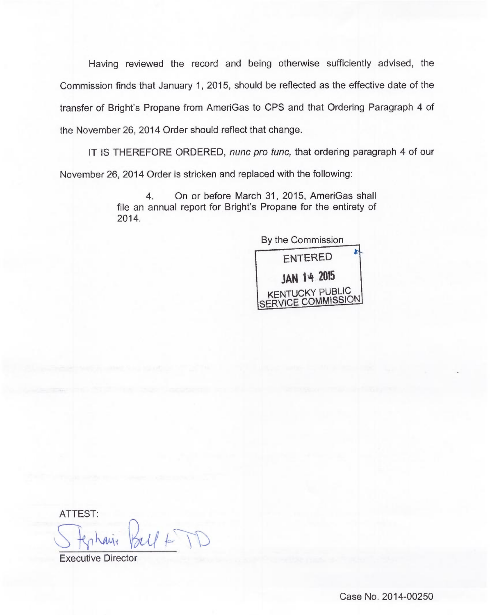Having reviewed the record and being otherwise sufficiently advised, the Commission finds that January 1, 2015, should be reflected as the effective date of the transfer of Bright's Propane from AmeriGas to CPS and that Ordering Paragraph 4 of the November 26, 2014 Order should reflect that change.

IT IS THEREFORE ORDERED, nunc pro tunc, that ordering paragraph 4 of our November 26, 2014 Order is stricken and replaced with the following:

> 4. On or before March 31, 2015, AmeriGas shall 2014. file an annual report for Bright's Propane for the entirety of



ATTEST

Executive Director